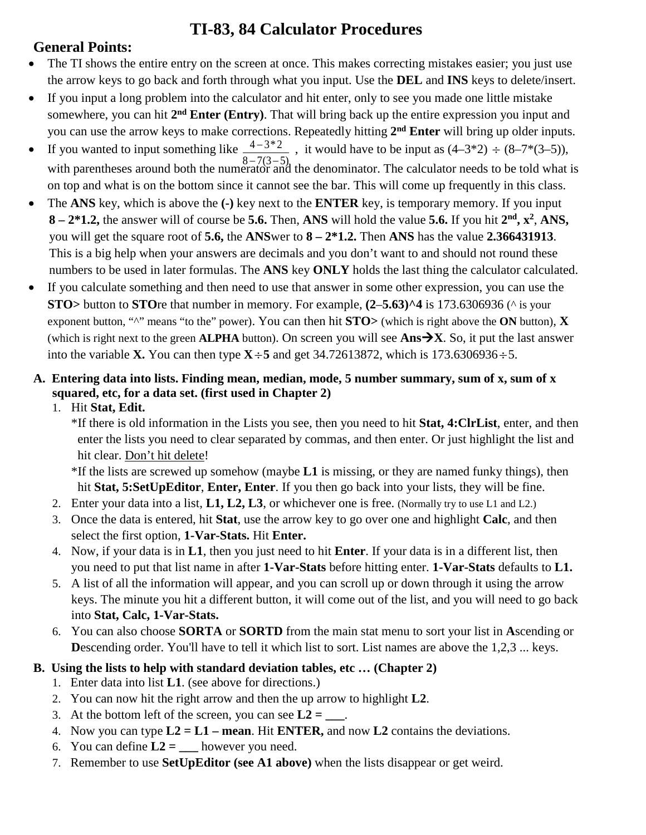# **TI-83, 84 Calculator Procedures**

## **General Points:**

- The TI shows the entire entry on the screen at once. This makes correcting mistakes easier; you just use the arrow keys to go back and forth through what you input. Use the **DEL** and **INS** keys to delete/insert.
- If you input a long problem into the calculator and hit enter, only to see you made one little mistake somewhere, you can hit **2nd Enter (Entry)**. That will bring back up the entire expression you input and you can use the arrow keys to make corrections. Repeatedly hitting **2nd Enter** will bring up older inputs.
- $4 3 * 2$  $8 - 7(3 - 5)$ −  $-7(3-$ • If you wanted to input something like  $\frac{4-3\cdot2}{2}$ , it would have to be input as  $(4-3\cdot2) \div (8-7\cdot3\cdot6)$ , with parentheses around both the numerator and the denominator. The calculator needs to be told what is on top and what is on the bottom since it cannot see the bar. This will come up frequently in this class.
- The **ANS** key, which is above the **(-)** key next to the **ENTER** key, is temporary memory. If you input **8 – 2\*1.2,** the answer will of course be **5.6.** Then, **ANS** will hold the value **5.6.** If you hit **2nd, x2**, **ANS,** you will get the square root of **5.6,** the **ANS**wer to **8 – 2\*1.2.** Then **ANS** has the value **2.366431913**. This is a big help when your answers are decimals and you don't want to and should not round these numbers to be used in later formulas. The **ANS** key **ONLY** holds the last thing the calculator calculated.
- If you calculate something and then need to use that answer in some other expression, you can use the **STO>** button to **STO**re that number in memory. For example, **(2**–**5.63)^4** is 173.6306936 (^ is your exponent button, " $^{\prime\prime}$ " means "to the" power). You can then hit **STO** > (which is right above the **ON** button), **X** (which is right next to the green **ALPHA** button). On screen you will see  $\text{Ans-}\rightarrow X$ . So, it put the last answer into the variable **X.** You can then type  $X \div 5$  and get 34.72613872, which is 173.6306936 $\div 5$ .

### **A. Entering data into lists. Finding mean, median, mode, 5 number summary, sum of x, sum of x squared, etc, for a data set. (first used in Chapter 2)**

1. Hit **Stat, Edit.**

\*If there is old information in the Lists you see, then you need to hit **Stat, 4:ClrList**, enter, and then enter the lists you need to clear separated by commas, and then enter. Or just highlight the list and hit clear. Don't hit delete!

\*If the lists are screwed up somehow (maybe **L1** is missing, or they are named funky things), then hit **Stat, 5:SetUpEditor**, **Enter, Enter**. If you then go back into your lists, they will be fine.

- 2. Enter your data into a list, **L1, L2, L3**, or whichever one is free. (Normally try to use L1 and L2.)
- 3. Once the data is entered, hit **Stat**, use the arrow key to go over one and highlight **Calc**, and then select the first option, **1-Var-Stats.** Hit **Enter.**
- 4. Now, if your data is in **L1**, then you just need to hit **Enter**. If your data is in a different list, then you need to put that list name in after **1-Var-Stats** before hitting enter. **1-Var-Stats** defaults to **L1.**
- 5. A list of all the information will appear, and you can scroll up or down through it using the arrow keys. The minute you hit a different button, it will come out of the list, and you will need to go back into **Stat, Calc, 1-Var-Stats.**
- 6. You can also choose **SORTA** or **SORTD** from the main stat menu to sort your list in **A**scending or **Descending order.** You'll have to tell it which list to sort. List names are above the 1,2,3 ... keys.

## **B. Using the lists to help with standard deviation tables, etc … (Chapter 2)**

- 1. Enter data into list **L1**. (see above for directions.)
- 2. You can now hit the right arrow and then the up arrow to highlight **L2**.
- 3. At the bottom left of the screen, you can see  $L2 =$ .
- 4. Now you can type **L2 = L1 – mean**. Hit **ENTER,** and now **L2** contains the deviations.
- 6. You can define  $L2 = \_\_\_\_\$ however you need.
- 7. Remember to use **SetUpEditor (see A1 above)** when the lists disappear or get weird.